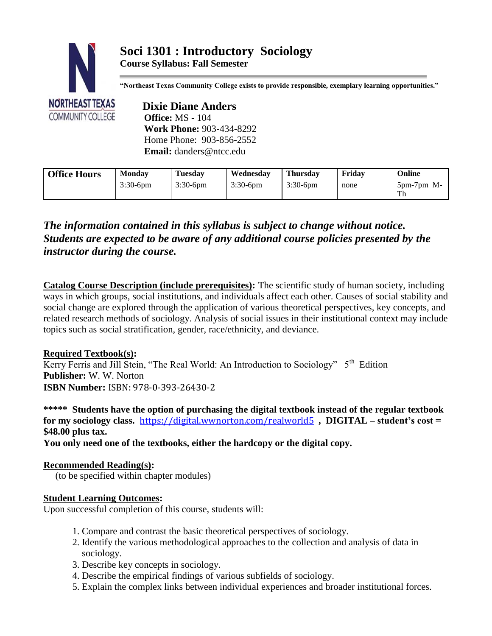# **Soci 1301 : Introductory Sociology**

**Course Syllabus: Fall Semester**



**"Northeast Texas Community College exists to provide responsible, exemplary learning opportunities."**

 **Dixie Diane Anders Office:** MS - 104  **Work Phone:** 903-434-8292 Home Phone: 903-856-2552  **Email:** danders@ntcc.edu

| <b>Office Hours</b> | <b>Monday</b> | <b>Tuesday</b> | Wednesdav              | <b>Thursday</b> | Fridav | Online                  |
|---------------------|---------------|----------------|------------------------|-----------------|--------|-------------------------|
|                     | $3:30-6$ pm   | $3:30-6$ pm    | $3:30-6$ <sub>pm</sub> | $3:30-6$ pm     | none   | $5$ pm- $7$ pm M-<br>Th |

# *The information contained in this syllabus is subject to change without notice. Students are expected to be aware of any additional course policies presented by the instructor during the course.*

**Catalog Course Description (include prerequisites):** The scientific study of human society, including ways in which groups, social institutions, and individuals affect each other. Causes of social stability and social change are explored through the application of various theoretical perspectives, key concepts, and related research methods of sociology. Analysis of social issues in their institutional context may include topics such as social stratification, gender, race/ethnicity, and deviance.

## **Required Textbook(s):**

Kerry Ferris and Jill Stein, "The Real World: An Introduction to Sociology" 5<sup>th</sup> Edition **Publisher:** W. W. Norton **ISBN Number:** ISBN: 978-0-393-26430-2

**\*\*\*\*\* Students have the option of purchasing the digital textbook instead of the regular textbook for my sociology class.** <https://digital.wwnorton.com/realworld5>**, DIGITAL – student's cost = \$48.00 plus tax.**

**You only need one of the textbooks, either the hardcopy or the digital copy.** 

## **Recommended Reading(s):**

(to be specified within chapter modules)

## **Student Learning Outcomes:**

Upon successful completion of this course, students will:

- 1. Compare and contrast the basic theoretical perspectives of sociology.
- 2. Identify the various methodological approaches to the collection and analysis of data in sociology.
- 3. Describe key concepts in sociology.
- 4. Describe the empirical findings of various subfields of sociology.
- 5. Explain the complex links between individual experiences and broader institutional forces.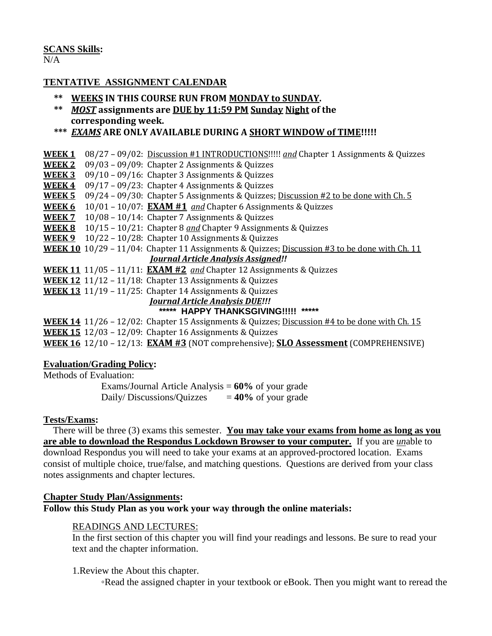# **SCANS Skills:**

#### $N/A$

#### **TENTATIVE ASSIGNMENT CALENDAR**

- **\*\* WEEKS IN THIS COURSE RUN FROM MONDAY to SUNDAY.**
- **\*\*** *MOST* **assignments are DUE by 11:59 PM Sunday Night of the corresponding week.**

#### **\*\*\*** *EXAMS* **ARE ONLY AVAILABLE DURING A SHORT WINDOW of TIME!!!!!**

**WEEK 1** 08/27 – 09/02: Discussion #1 INTRODUCTIONS!!!!! *and* Chapter 1 Assignments & Quizzes **WEEK 2** 09/03 – 09/09: Chapter 2 Assignments & Quizzes **WEEK 3** 09/10 – 09/16: Chapter 3 Assignments & Quizzes **WEEK 4** 09/17 – 09/23: Chapter 4 Assignments & Quizzes **WEEK 5** 09/24 – 09/30: Chapter 5 Assignments & Quizzes; Discussion #2 to be done with Ch. 5 **WEEK 6** 10/01 – 10/07: **EXAM #1** *and* Chapter 6 Assignments & Quizzes **WEEK 7** 10/08 – 10/14: Chapter 7 Assignments & Quizzes **WEEK 8** 10/15 – 10/21: Chapter 8 *and* Chapter 9 Assignments & Quizzes **WEEK 9** 10/22 – 10/28: Chapter 10 Assignments & Quizzes **WEEK 10** 10/29 – 11/04: Chapter 11 Assignments & Quizzes; Discussion #3 to be done with Ch. 11 *Journal Article Analysis Assigned!!* **WEEK 11** 11/05 – 11/11: **EXAM #2** *and* Chapter 12 Assignments & Quizzes **WEEK 12** 11/12 – 11/18: Chapter 13 Assignments & Quizzes **WEEK 13** 11/19 – 11/25: Chapter 14 Assignments & Quizzes *Journal Article Analysis DUE!!!*

# **\*\*\*\*\* HAPPY THANKSGIVING!!!!! \*\*\*\*\***

**WEEK 14** 11/26 – 12/02: Chapter 15 Assignments & Quizzes; Discussion #4 to be done with Ch. 15 **WEEK 15** 12/03 – 12/09: Chapter 16 Assignments & Quizzes **WEEK 16** 12/10 – 12/13: **EXAM #3** (NOT comprehensive); **SLO Assessment** (COMPREHENSIVE)

#### **Evaluation/Grading Policy:**

Methods of Evaluation:

Exams/Journal Article Analysis = **60%** of your grade Daily/Discussions/Quizzes  $= 40\%$  of your grade

#### **Tests/Exams:**

 There will be three (3) exams this semester. **You may take your exams from home as long as you are able to download the Respondus Lockdown Browser to your computer.** If you are *un*able to download Respondus you will need to take your exams at an approved-proctored location. Exams consist of multiple choice, true/false, and matching questions. Questions are derived from your class notes assignments and chapter lectures.

#### **Chapter Study Plan/Assignments:**

**Follow this Study Plan as you work your way through the online materials:**

#### READINGS AND LECTURES:

In the first section of this chapter you will find your readings and lessons. Be sure to read your text and the chapter information.

1.Review the About this chapter.

◦Read the assigned chapter in your textbook or eBook. Then you might want to reread the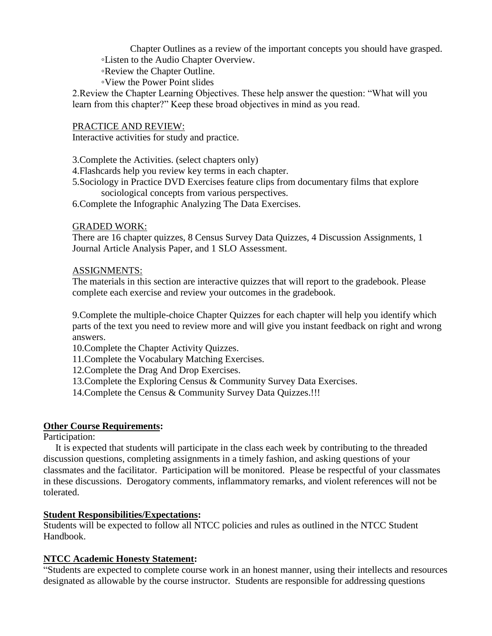Chapter Outlines as a review of the important concepts you should have grasped. ◦Listen to the Audio Chapter Overview.

◦Review the Chapter Outline.

◦View the Power Point slides

2.Review the Chapter Learning Objectives. These help answer the question: "What will you learn from this chapter?" Keep these broad objectives in mind as you read.

#### PRACTICE AND REVIEW:

Interactive activities for study and practice.

3.Complete the Activities. (select chapters only)

4.Flashcards help you review key terms in each chapter.

5.Sociology in Practice DVD Exercises feature clips from documentary films that explore sociological concepts from various perspectives.

6.Complete the Infographic Analyzing The Data Exercises.

#### GRADED WORK:

There are 16 chapter quizzes, 8 Census Survey Data Quizzes, 4 Discussion Assignments, 1 Journal Article Analysis Paper, and 1 SLO Assessment.

#### ASSIGNMENTS:

The materials in this section are interactive quizzes that will report to the gradebook. Please complete each exercise and review your outcomes in the gradebook.

9.Complete the multiple-choice Chapter Quizzes for each chapter will help you identify which parts of the text you need to review more and will give you instant feedback on right and wrong answers.

10.Complete the Chapter Activity Quizzes.

11.Complete the Vocabulary Matching Exercises.

12.Complete the Drag And Drop Exercises.

13.Complete the Exploring Census & Community Survey Data Exercises.

14. Complete the Census & Community Survey Data Quizzes.!!!

#### **Other Course Requirements:**

Participation:

 It is expected that students will participate in the class each week by contributing to the threaded discussion questions, completing assignments in a timely fashion, and asking questions of your classmates and the facilitator. Participation will be monitored. Please be respectful of your classmates in these discussions. Derogatory comments, inflammatory remarks, and violent references will not be tolerated.

#### **Student Responsibilities/Expectations:**

Students will be expected to follow all NTCC policies and rules as outlined in the NTCC Student Handbook.

#### **NTCC Academic Honesty Statement:**

"Students are expected to complete course work in an honest manner, using their intellects and resources designated as allowable by the course instructor. Students are responsible for addressing questions